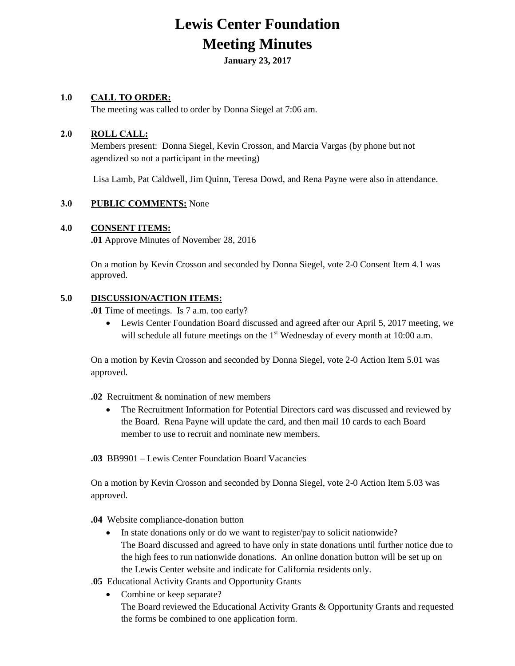# **Lewis Center Foundation Meeting Minutes**

**January 23, 2017**

# **1.0 CALL TO ORDER:**

The meeting was called to order by Donna Siegel at 7:06 am.

## **2.0 ROLL CALL:**

Members present: Donna Siegel, Kevin Crosson, and Marcia Vargas (by phone but not agendized so not a participant in the meeting)

Lisa Lamb, Pat Caldwell, Jim Quinn, Teresa Dowd, and Rena Payne were also in attendance.

## **3.0 PUBLIC COMMENTS:** None

#### **4.0 CONSENT ITEMS:**

**.01** Approve Minutes of November 28, 2016

On a motion by Kevin Crosson and seconded by Donna Siegel, vote 2-0 Consent Item 4.1 was approved.

#### **5.0 DISCUSSION/ACTION ITEMS:**

**.01** Time of meetings. Is 7 a.m. too early?

 Lewis Center Foundation Board discussed and agreed after our April 5, 2017 meeting, we will schedule all future meetings on the  $1<sup>st</sup>$  Wednesday of every month at 10:00 a.m.

On a motion by Kevin Crosson and seconded by Donna Siegel, vote 2-0 Action Item 5.01 was approved.

- **.02** Recruitment & nomination of new members
	- The Recruitment Information for Potential Directors card was discussed and reviewed by the Board. Rena Payne will update the card, and then mail 10 cards to each Board member to use to recruit and nominate new members.
- **.03** BB9901 Lewis Center Foundation Board Vacancies

On a motion by Kevin Crosson and seconded by Donna Siegel, vote 2-0 Action Item 5.03 was approved.

- **.04** Website compliance-donation button
	- In state donations only or do we want to register/pay to solicit nationwide? The Board discussed and agreed to have only in state donations until further notice due to the high fees to run nationwide donations. An online donation button will be set up on the Lewis Center website and indicate for California residents only.
- .**05** Educational Activity Grants and Opportunity Grants
	- Combine or keep separate? The Board reviewed the Educational Activity Grants & Opportunity Grants and requested the forms be combined to one application form.